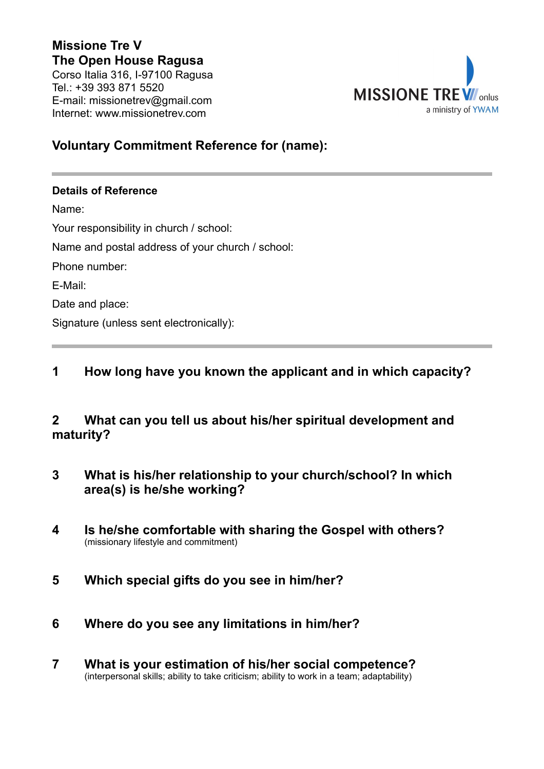# **Missione Tre V The Open House Ragusa**

Corso Italia 316, I-97100 Ragusa Tel.: +39 393 871 5520 E-mail: missionetrev@gmail.com Internet: www.missionetrev.com



### **Voluntary Commitment Reference for (name):**

#### **Details of Reference**

Name: Your responsibility in church / school: Name and postal address of your church / school: Phone number: E-Mail: Date and place: Signature (unless sent electronically):

## **1 How long have you known the applicant and in which capacity?**

## **2 What can you tell us about his/her spiritual development and maturity?**

- **3 What is his/her relationship to your church/school? In which area(s) is he/she working?**
- **4 Is he/she comfortable with sharing the Gospel with others?** (missionary lifestyle and commitment)
- **5 Which special gifts do you see in him/her?**
- **6 Where do you see any limitations in him/her?**
- **7 What is your estimation of his/her social competence?** (interpersonal skills; ability to take criticism; ability to work in a team; adaptability)